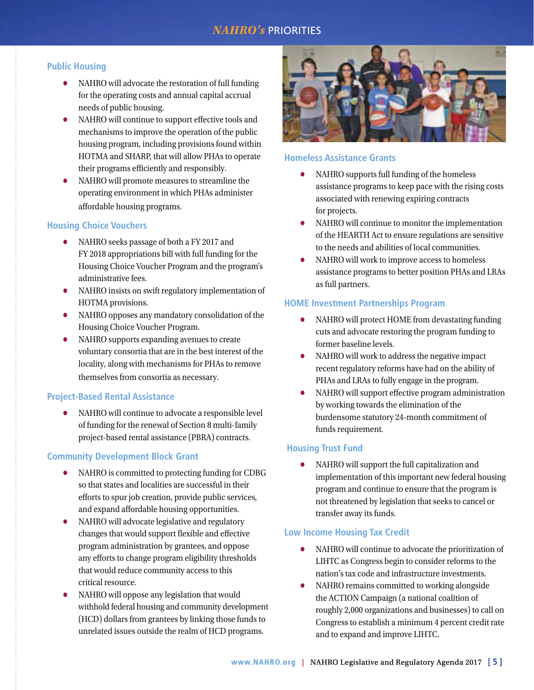# **NAHRO's** PRIORITIES

### **Public Housing**

- NAHRO will advocate the restoration of full funding for the operating costs and annual capital accrual needs of public housing.
- NAHRO will continue to support effective tools and mechanisms to improve the operation of the public housing program, including provisions found within HOTMA and SHARP, that will allow PHAs to operate their programs efficiently and responsibly.
- NAHRO will promote measures to streamline the operating environment in which PHAs administer affordable housing programs.

### **Housing Choice Vouchers**

- NAHRO seeks passage of both a FY 2017 and FY 2018 appropriations bill with full funding for the Housing Choice Voucher Program and the program's administrative fees.
- NAHRO insists on swift regulatory implementation of HOTMA provisions.
- NAHRO opposes any mandatory consolidation of the Housing Choice Voucher Program.
- NAHRO supports expanding avenues to create voluntary consortia that are in the best interest of the locality, along with mechanisms for PHAs to remove themselves from consortia as necessary.

### **Project-Based Rental Assistance**

**•** NAHRO will continue to advocate a responsible level of funding for the renewal of Section 8 multi-family project-based rental assistance (PBRA) contracts.

### **Community Development Block Grant**

- NAHRO is committed to protecting funding for CDBG so that states and localities are successful in their efforts to spur job creation, provide public services, and expand affordable housing opportunities.
- NAHRO will advocate legislative and regulatory changes that would support flexible and effective program administration by grantees, and oppose any efforts to change program eligibility thresholds that would reduce community access to this critical resource.
- NAHRO will oppose any legislation that would withhold federal housing and community development (HCD) dollars from grantees by linking those funds to unrelated issues outside the realm of HCD programs.



## **Homeless Assistance Grants**

- NAHRO supports full funding of the homeless assistance programs to keep pace with the rising costs associated with renewing expiring contracts for projects.
- NAHRO will continue to monitor the implementation of the HEARTH Act to ensure regulations are sensitive to the needs and abilities of local communities.
- NAHRO will work to improve access to homeless assistance programs to better position PHAs and LRAs as full partners.

### **HOME Investment Partnerships Program**

- NAHRO will protect HOME from devastating funding cuts and advocate restoring the program funding to former baseline levels.
- NAHRO will work to address the negative impact recent regulatory reforms have had on the ability of PHAs and LRAs to fully engage in the program.
- NAHRO will support effective program administration by working towards the elimination of the burdensome statutory 24-month commitment of funds requirement.

### **Housing Trust Fund**

**•** NAHRO will support the full capitalization and implementation of this important new federal housing program and continue to ensure that the program is not threatened by legislation that seeks to cancel or transfer away its funds.

### **Low Income Housing Tax Credit**

- NAHRO will continue to advocate the prioritization of LIHTC as Congress begin to consider reforms to the nation's tax code and infrastructure investments.
- NAHRO remains committed to working alongside the ACTION Campaign (a national coalition of roughly 2,000 organizations and businesses) to call on Congress to establish a minimum 4 percent credit rate and to expand and improve LIHTC.